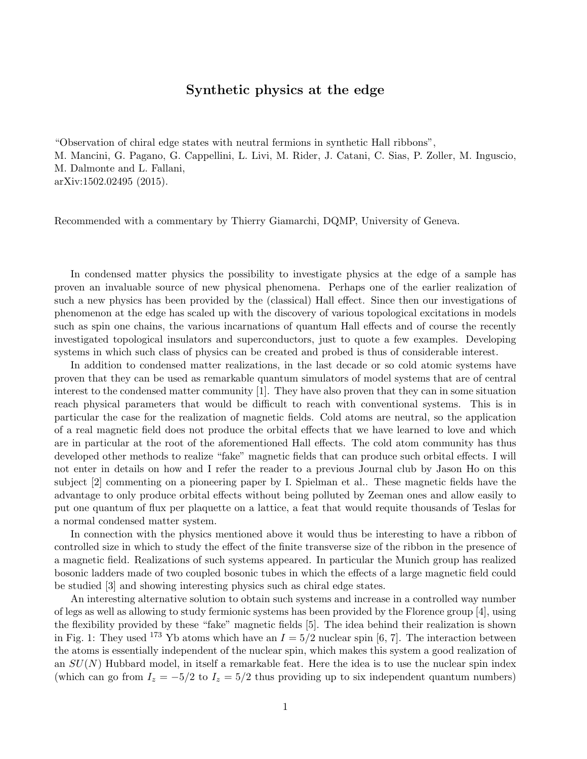## Synthetic physics at the edge

"Observation of chiral edge states with neutral fermions in synthetic Hall ribbons", M. Mancini, G. Pagano, G. Cappellini, L. Livi, M. Rider, J. Catani, C. Sias, P. Zoller, M. Inguscio, M. Dalmonte and L. Fallani, arXiv:1502.02495 (2015).

Recommended with a commentary by Thierry Giamarchi, DQMP, University of Geneva.

In condensed matter physics the possibility to investigate physics at the edge of a sample has proven an invaluable source of new physical phenomena. Perhaps one of the earlier realization of such a new physics has been provided by the (classical) Hall effect. Since then our investigations of phenomenon at the edge has scaled up with the discovery of various topological excitations in models such as spin one chains, the various incarnations of quantum Hall effects and of course the recently investigated topological insulators and superconductors, just to quote a few examples. Developing systems in which such class of physics can be created and probed is thus of considerable interest.

In addition to condensed matter realizations, in the last decade or so cold atomic systems have proven that they can be used as remarkable quantum simulators of model systems that are of central interest to the condensed matter community [1]. They have also proven that they can in some situation reach physical parameters that would be difficult to reach with conventional systems. This is in particular the case for the realization of magnetic fields. Cold atoms are neutral, so the application of a real magnetic field does not produce the orbital effects that we have learned to love and which are in particular at the root of the aforementioned Hall effects. The cold atom community has thus developed other methods to realize "fake" magnetic fields that can produce such orbital effects. I will not enter in details on how and I refer the reader to a previous Journal club by Jason Ho on this subject [2] commenting on a pioneering paper by I. Spielman et al.. These magnetic fields have the advantage to only produce orbital effects without being polluted by Zeeman ones and allow easily to put one quantum of flux per plaquette on a lattice, a feat that would requite thousands of Teslas for a normal condensed matter system.

In connection with the physics mentioned above it would thus be interesting to have a ribbon of controlled size in which to study the effect of the finite transverse size of the ribbon in the presence of a magnetic field. Realizations of such systems appeared. In particular the Munich group has realized bosonic ladders made of two coupled bosonic tubes in which the effects of a large magnetic field could be studied [3] and showing interesting physics such as chiral edge states.

An interesting alternative solution to obtain such systems and increase in a controlled way number of legs as well as allowing to study fermionic systems has been provided by the Florence group [4], using the flexibility provided by these "fake" magnetic fields [5]. The idea behind their realization is shown in Fig. 1: They used <sup>173</sup> Yb atoms which have an  $I = 5/2$  nuclear spin [6, 7]. The interaction between the atoms is essentially independent of the nuclear spin, which makes this system a good realization of an  $SU(N)$  Hubbard model, in itself a remarkable feat. Here the idea is to use the nuclear spin index (which can go from  $I_z = -5/2$  to  $I_z = 5/2$  thus providing up to six independent quantum numbers)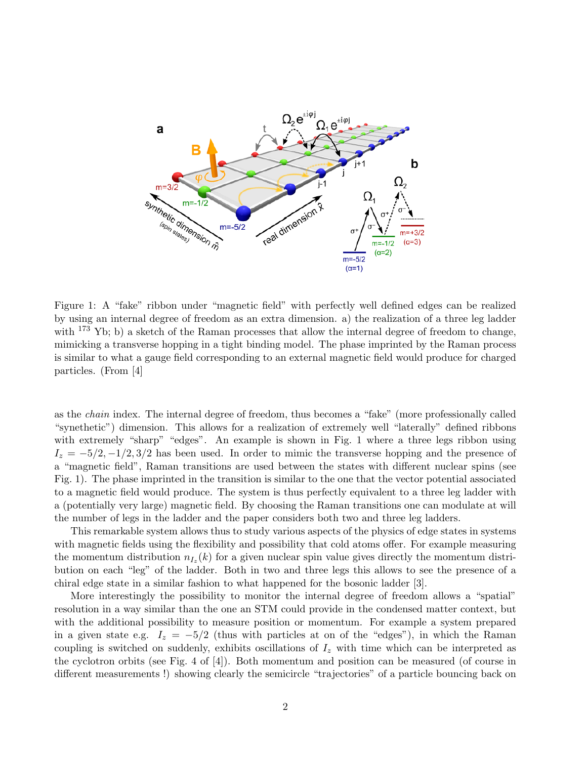

Figure 1: A "fake" ribbon under "magnetic field" with perfectly well defined edges can be realized by using an internal degree of freedom as an extra dimension. a) the realization of a three leg ladder with <sup>173</sup> Yb; b) a sketch of the Raman processes that allow the internal degree of freedom to change, mimicking a transverse hopping in a tight binding model. The phase imprinted by the Raman process is similar to what a gauge field corresponding to an external magnetic field would produce for charged particles. (From [4]

as the chain index. The internal degree of freedom, thus becomes a "fake" (more professionally called "synethetic") dimension. This allows for a realization of extremely well "laterally" defined ribbons with extremely "sharp" "edges". An example is shown in Fig. 1 where a three legs ribbon using  $I_z = -5/2, -1/2, 3/2$  has been used. In order to mimic the transverse hopping and the presence of a "magnetic field", Raman transitions are used between the states with different nuclear spins (see Fig. 1). The phase imprinted in the transition is similar to the one that the vector potential associated to a magnetic field would produce. The system is thus perfectly equivalent to a three leg ladder with a (potentially very large) magnetic field. By choosing the Raman transitions one can modulate at will the number of legs in the ladder and the paper considers both two and three leg ladders.

This remarkable system allows thus to study various aspects of the physics of edge states in systems with magnetic fields using the flexibility and possibility that cold atoms offer. For example measuring the momentum distribution  $n_{I_z}(k)$  for a given nuclear spin value gives directly the momentum distribution on each "leg" of the ladder. Both in two and three legs this allows to see the presence of a chiral edge state in a similar fashion to what happened for the bosonic ladder [3].

More interestingly the possibility to monitor the internal degree of freedom allows a "spatial" resolution in a way similar than the one an STM could provide in the condensed matter context, but with the additional possibility to measure position or momentum. For example a system prepared in a given state e.g.  $I_z = -5/2$  (thus with particles at on of the "edges"), in which the Raman coupling is switched on suddenly, exhibits oscillations of  $I<sub>z</sub>$  with time which can be interpreted as the cyclotron orbits (see Fig. 4 of [4]). Both momentum and position can be measured (of course in different measurements !) showing clearly the semicircle "trajectories" of a particle bouncing back on